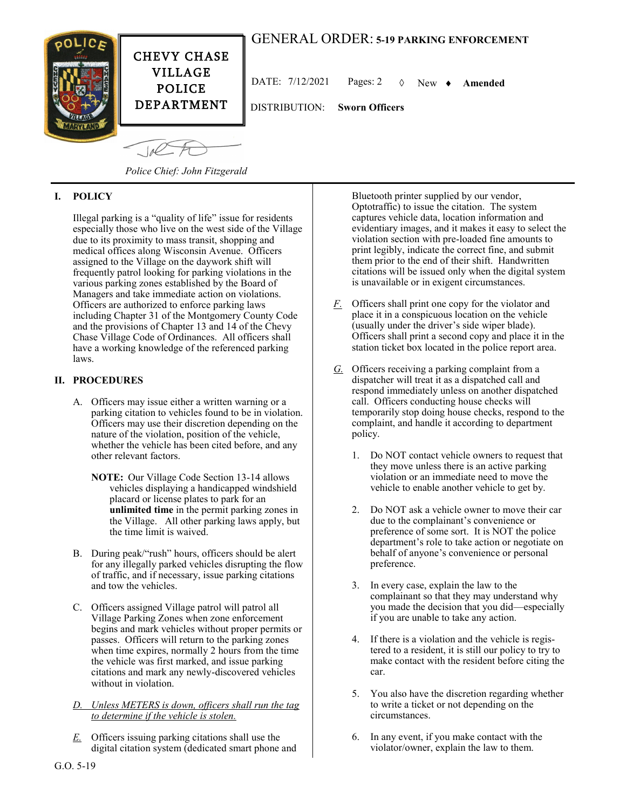## GENERAL ORDER: **5-19 PARKING ENFORCEMENT**



VILLAGE POLICE DEPARTMENT

DATE: 7/12/2021 Pages: 2 New **Amended**

DISTRIBUTION: **Sworn Officers**

 $-10<sup>2</sup>$ 

*Police Chief: John Fitzgerald*

## **I. POLICY**

Illegal parking is a "quality of life" issue for residents especially those who live on the west side of the Village due to its proximity to mass transit, shopping and medical offices along Wisconsin Avenue. Officers assigned to the Village on the daywork shift will frequently patrol looking for parking violations in the various parking zones established by the Board of Managers and take immediate action on violations. Officers are authorized to enforce parking laws including Chapter 31 of the Montgomery County Code and the provisions of Chapter 13 and 14 of the Chevy Chase Village Code of Ordinances. All officers shall have a working knowledge of the referenced parking laws.

## **II. PROCEDURES**

- A. Officers may issue either a written warning or a parking citation to vehicles found to be in violation. Officers may use their discretion depending on the nature of the violation, position of the vehicle, whether the vehicle has been cited before, and any other relevant factors.
	- **NOTE:** Our Village Code Section 13-14 allows vehicles displaying a handicapped windshield placard or license plates to park for an **unlimited time** in the permit parking zones in the Village. All other parking laws apply, but the time limit is waived.
- B. During peak/"rush" hours, officers should be alert for any illegally parked vehicles disrupting the flow of traffic, and if necessary, issue parking citations and tow the vehicles.
- C. Officers assigned Village patrol will patrol all Village Parking Zones when zone enforcement begins and mark vehicles without proper permits or passes. Officers will return to the parking zones when time expires, normally 2 hours from the time the vehicle was first marked, and issue parking citations and mark any newly-discovered vehicles without in violation.

*D. Unless METERS is down, officers shall run the tag to determine if the vehicle is stolen.*

*E.* Officers issuing parking citations shall use the digital citation system (dedicated smart phone and Bluetooth printer supplied by our vendor, Optotraffic) to issue the citation. The system captures vehicle data, location information and evidentiary images, and it makes it easy to select the violation section with pre-loaded fine amounts to print legibly, indicate the correct fine, and submit them prior to the end of their shift. Handwritten citations will be issued only when the digital system is unavailable or in exigent circumstances.

- *F.* Officers shall print one copy for the violator and place it in a conspicuous location on the vehicle (usually under the driver's side wiper blade). Officers shall print a second copy and place it in the station ticket box located in the police report area.
- *G.* Officers receiving a parking complaint from a dispatcher will treat it as a dispatched call and respond immediately unless on another dispatched call. Officers conducting house checks will temporarily stop doing house checks, respond to the complaint, and handle it according to department policy.
	- 1. Do NOT contact vehicle owners to request that they move unless there is an active parking violation or an immediate need to move the vehicle to enable another vehicle to get by.
	- 2. Do NOT ask a vehicle owner to move their car due to the complainant's convenience or preference of some sort. It is NOT the police department's role to take action or negotiate on behalf of anyone's convenience or personal preference.
	- 3. In every case, explain the law to the complainant so that they may understand why you made the decision that you did—especially if you are unable to take any action.
	- 4. If there is a violation and the vehicle is registered to a resident, it is still our policy to try to make contact with the resident before citing the car.
	- 5. You also have the discretion regarding whether to write a ticket or not depending on the circumstances.
	- 6. In any event, if you make contact with the violator/owner, explain the law to them.